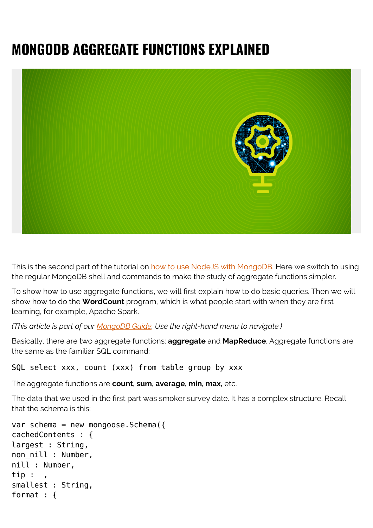# **MONGODB AGGREGATE FUNCTIONS EXPLAINED**



This is the second part of the tutorial on [how to use NodeJS with MongoDB.](https://blogs.bmc.com/blogs/how-to-use-mongoose-for-mongodb-and-nodejs/) Here we switch to using the regular MongoDB shell and commands to make the study of aggregate functions simpler.

To show how to use aggregate functions, we will first explain how to do basic queries. Then we will show how to do the **WordCount** program, which is what people start with when they are first learning, for example, Apache Spark.

*(This article is part of our [MongoDB Guide](https://blogs.bmc.com/blogs/mongodb-overview-getting-started-with-mongodb/). Use the right-hand menu to navigate.)*

Basically, there are two aggregate functions: **aggregate** and **MapReduce**. Aggregate functions are the same as the familiar SQL command:

SQL select xxx, count (xxx) from table group by xxx

The aggregate functions are **count, sum, average, min, max,** etc.

The data that we used in the first part was smoker survey date. It has a complex structure. Recall that the schema is this:

```
var schema = new mongoose.Schema({
cachedContents : {
largest : String,
non_nill : Number,
nill : Number,
tip : ,
smallest : String,
format : {
```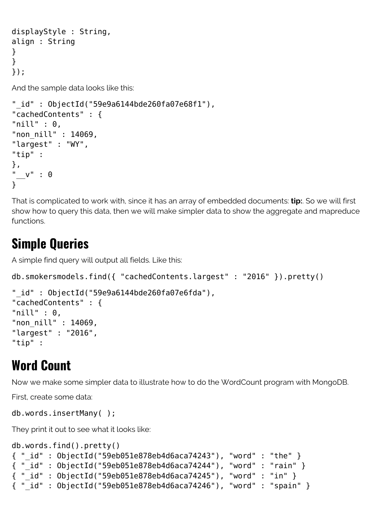```
displayStyle : String,
align : String
}
}
});
```
And the sample data looks like this:

```
"_id" : ObjectId("59e9a6144bde260fa07e68f1"),
"cachedContents" : {
"nill" : \theta,
"non_nill" : 14069,
"largest" : "WY",
"tip" :
},
 v'' : 0}
```
That is complicated to work with, since it has an array of embedded documents: **tip:**. So we will first show how to query this data, then we will make simpler data to show the aggregate and mapreduce functions.

### **Simple Queries**

A simple find query will output all fields. Like this:

```
db.smokersmodels.find({ "cachedContents.largest" : "2016" }).pretty()
"_id" : ObjectId("59e9a6144bde260fa07e6fda"),
"cachedContents" : {
```

```
"nill" : 0,
"non_nill" : 14069,
"largest" : "2016",
"tip" :
```
## **Word Count**

Now we make some simpler data to illustrate how to do the WordCount program with MongoDB.

First, create some data:

```
db.words.insertMany( );
```
They print it out to see what it looks like:

```
db.words.find().pretty()
{ "_id" : ObjectId("59eb051e878eb4d6aca74243"), "word" : "the" }
{ "_id" : ObjectId("59eb051e878eb4d6aca74244"), "word" : "rain" }
{ "_id" : ObjectId("59eb051e878eb4d6aca74245"), "word" : "in" }
{ "_id" : ObjectId("59eb051e878eb4d6aca74246"), "word" : "spain" }
```